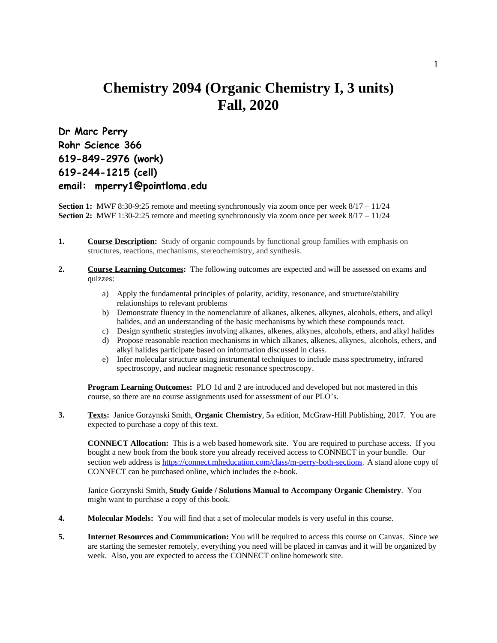## **Chemistry 2094 (Organic Chemistry I, 3 units) Fall, 2020**

**Dr Marc Perry Rohr Science 366 619-849-2976 (work) 619-244-1215 (cell) email: mperry1@pointloma.edu**

**Section 1:** MWF 8:30-9:25 remote and meeting synchronously via zoom once per week  $8/17 - 11/24$ **Section 2:** MWF 1:30-2:25 remote and meeting synchronously via zoom once per week  $8/17 - 11/24$ 

- **1. Course Description:** Study of organic compounds by functional group families with emphasis on structures, reactions, mechanisms, stereochemistry, and synthesis.
- **2. Course Learning Outcomes:** The following outcomes are expected and will be assessed on exams and quizzes:
	- a) Apply the fundamental principles of polarity, acidity, resonance, and structure/stability relationships to relevant problems
	- b) Demonstrate fluency in the nomenclature of alkanes, alkenes, alkynes, alcohols, ethers, and alkyl halides, and an understanding of the basic mechanisms by which these compounds react.
	- c) Design synthetic strategies involving alkanes, alkenes, alkynes, alcohols, ethers, and alkyl halides
	- d) Propose reasonable reaction mechanisms in which alkanes, alkenes, alkynes, alcohols, ethers, and alkyl halides participate based on information discussed in class.
	- e) Infer molecular structure using instrumental techniques to include mass spectrometry, infrared spectroscopy, and nuclear magnetic resonance spectroscopy.

**Program Learning Outcomes:** PLO 1d and 2 are introduced and developed but not mastered in this course, so there are no course assignments used for assessment of our PLO's.

**3. Texts:** Janice Gorzynski Smith, **Organic Chemistry**, 5th edition, McGraw-Hill Publishing, 2017. You are expected to purchase a copy of this text.

**CONNECT Allocation:** This is a web based homework site. You are required to purchase access. If you bought a new book from the book store you already received access to CONNECT in your bundle. Our section web address is <https://connect.mheducation.com/class/m-perry-both-sections>. A stand alone copy of CONNECT can be purchased online, which includes the e-book.

Janice Gorzynski Smith, **Study Guide / Solutions Manual to Accompany Organic Chemistry**. You might want to purchase a copy of this book.

- **4. Molecular Models:** You will find that a set of molecular models is very useful in this course.
- **5. Internet Resources and Communication:** You will be required to access this course on Canvas. Since we are starting the semester remotely, everything you need will be placed in canvas and it will be organized by week. Also, you are expected to access the CONNECT online homework site.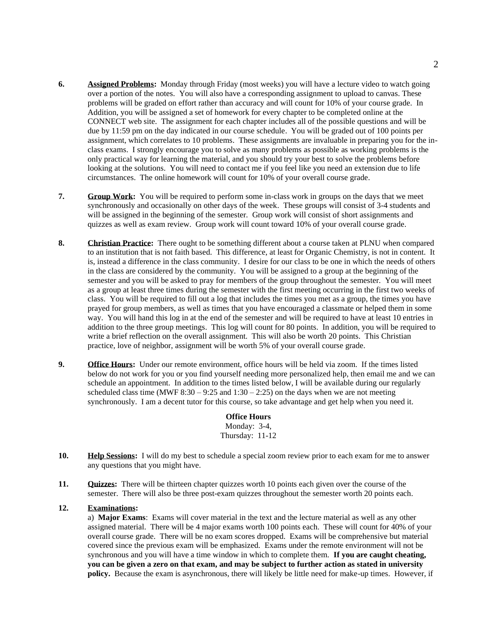- **6. Assigned Problems:** Monday through Friday (most weeks) you will have a lecture video to watch going over a portion of the notes. You will also have a corresponding assignment to upload to canvas. These problems will be graded on effort rather than accuracy and will count for 10% of your course grade. In Addition, you will be assigned a set of homework for every chapter to be completed online at the CONNECT web site. The assignment for each chapter includes all of the possible questions and will be due by 11:59 pm on the day indicated in our course schedule. You will be graded out of 100 points per assignment, which correlates to 10 problems. These assignments are invaluable in preparing you for the inclass exams. I strongly encourage you to solve as many problems as possible as working problems is the only practical way for learning the material, and you should try your best to solve the problems before looking at the solutions. You will need to contact me if you feel like you need an extension due to life circumstances. The online homework will count for 10% of your overall course grade.
- **7. Group Work:** You will be required to perform some in-class work in groups on the days that we meet synchronously and occasionally on other days of the week. These groups will consist of 3-4 students and will be assigned in the beginning of the semester. Group work will consist of short assignments and quizzes as well as exam review. Group work will count toward 10% of your overall course grade.
- **8. Christian Practice:** There ought to be something different about a course taken at PLNU when compared to an institution that is not faith based. This difference, at least for Organic Chemistry, is not in content. It is, instead a difference in the class community. I desire for our class to be one in which the needs of others in the class are considered by the community. You will be assigned to a group at the beginning of the semester and you will be asked to pray for members of the group throughout the semester. You will meet as a group at least three times during the semester with the first meeting occurring in the first two weeks of class. You will be required to fill out a log that includes the times you met as a group, the times you have prayed for group members, as well as times that you have encouraged a classmate or helped them in some way. You will hand this log in at the end of the semester and will be required to have at least 10 entries in addition to the three group meetings. This log will count for 80 points. In addition, you will be required to write a brief reflection on the overall assignment. This will also be worth 20 points. This Christian practice, love of neighbor, assignment will be worth 5% of your overall course grade.
- **9. Office Hours:** Under our remote environment, office hours will be held via zoom. If the times listed below do not work for you or you find yourself needing more personalized help, then email me and we can schedule an appointment. In addition to the times listed below, I will be available during our regularly scheduled class time (MWF  $8:30 - 9:25$  and  $1:30 - 2:25$ ) on the days when we are not meeting synchronously. I am a decent tutor for this course, so take advantage and get help when you need it.

**Office Hours** Monday: 3-4, Thursday: 11-12

- **10. Help Sessions:** I will do my best to schedule a special zoom review prior to each exam for me to answer any questions that you might have.
- **11. Quizzes:** There will be thirteen chapter quizzes worth 10 points each given over the course of the semester. There will also be three post-exam quizzes throughout the semester worth 20 points each.

## **12. Examinations:**

a) **Major Exams**: Exams will cover material in the text and the lecture material as well as any other assigned material. There will be 4 major exams worth 100 points each. These will count for 40% of your overall course grade. There will be no exam scores dropped. Exams will be comprehensive but material covered since the previous exam will be emphasized. Exams under the remote environment will not be synchronous and you will have a time window in which to complete them. **If you are caught cheating, you can be given a zero on that exam, and may be subject to further action as stated in university policy.** Because the exam is asynchronous, there will likely be little need for make-up times. However, if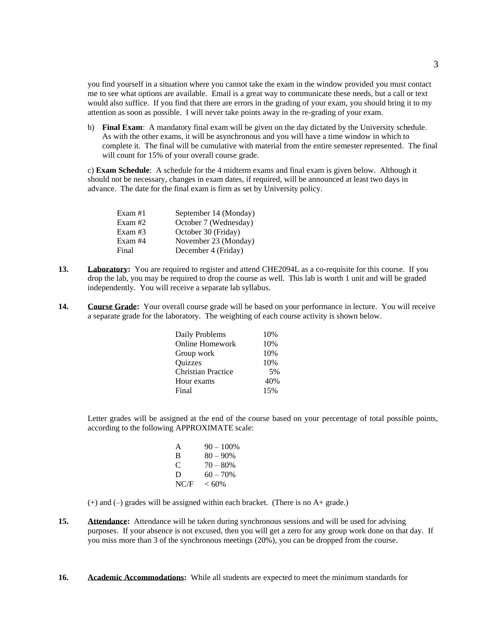you find yourself in a situation where you cannot take the exam in the window provided you must contact me to see what options are available. Email is a great way to communicate these needs, but a call or text would also suffice. If you find that there are errors in the grading of your exam, you should bring it to my attention as soon as possible. I will never take points away in the re-grading of your exam.

b) **Final Exam**: A mandatory final exam will be given on the day dictated by the University schedule. As with the other exams, it will be asynchronous and you will have a time window in which to complete it. The final will be cumulative with material from the entire semester represented. The final will count for 15% of your overall course grade.

c) **Exam Schedule**: A schedule for the 4 midterm exams and final exam is given below. Although it should not be necessary, changes in exam dates, if required, will be announced at least two days in advance. The date for the final exam is firm as set by University policy.

| $Exam \#1$ | September 14 (Monday) |
|------------|-----------------------|
| Exam# $2$  | October 7 (Wednesday) |
| Exam $#3$  | October 30 (Friday)   |
| Exam $#4$  | November 23 (Monday)  |
| Final      | December 4 (Friday)   |

- 13. **Laboratory:** You are required to register and attend CHE2094L as a co-requisite for this course. If you drop the lab, you may be required to drop the course as well. This lab is worth 1 unit and will be graded independently. You will receive a separate lab syllabus.
- **14. Course Grade:** Your overall course grade will be based on your performance in lecture. You will receive a separate grade for the laboratory. The weighting of each course activity is shown below.

| Daily Problems            | 10% |
|---------------------------|-----|
| <b>Online Homework</b>    | 10% |
| Group work                | 10% |
| Quizzes                   | 10% |
| <b>Christian Practice</b> | 5%  |
| Hour exams                | 40% |
| Final                     | 15% |
|                           |     |

Letter grades will be assigned at the end of the course based on your percentage of total possible points, according to the following APPROXIMATE scale:

> A  $90 - 100\%$ B  $80 - 90\%$ C  $70 - 80%$ D  $60 - 70\%$  $NCF < 60%$

(+) and (–) grades will be assigned within each bracket. (There is no A+ grade.)

- **15. Attendance:** Attendance will be taken during synchronous sessions and will be used for advising purposes. If your absence is not excused, then you will get a zero for any group work done on that day. If you miss more than 3 of the synchronous meetings (20%), you can be dropped from the course.
- **16. Academic Accommodations:** While all students are expected to meet the minimum standards for